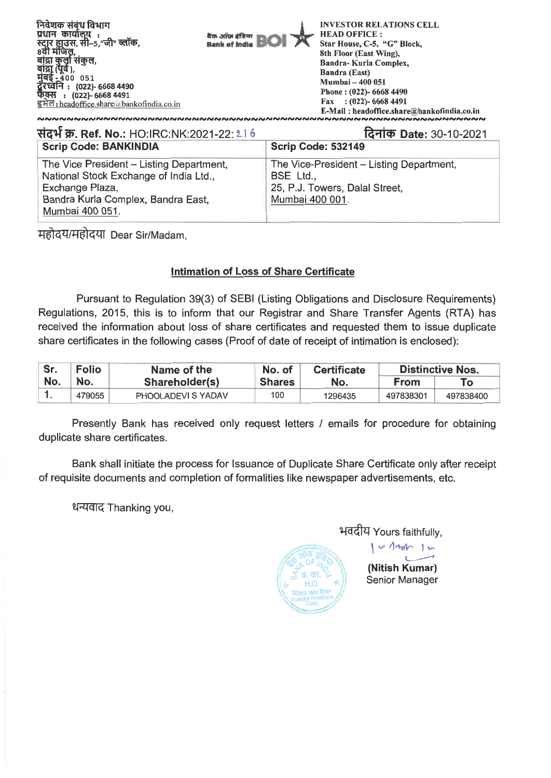| निवेशक संबंध विभाग<br>प्रधान कार्यालय<br>स्ट्रार हाउस, सी-5, जी" ब्लॉक.<br>8वी मंजिल<br>कुला सकुल,<br>बाद्रा<br>मबड<br>400 051<br><u>र्दे</u> रध्वनि : (022)- 6668 4490<br>फक्स: (022)- 6668 4491<br>इमेल: headoffice share a bank of india co. in | बैक ऑफ़ इंडिया<br>Bank of India |  | <b>INVESTOR RELATIONS CELL</b><br><b>HEAD OFFICE:</b><br>Star House, C-5, "G" Block,<br>8th Floor (East Wing),<br>Bandra-Kurla Complex,<br>Bandra (East)<br>Mumbai - 400 051<br>Phone: (022)- 6668 4490<br>Fax: $(022)$ - 6668 4491<br>E-Mail: headoffice.share@bankofindia.co.in |  |  |
|----------------------------------------------------------------------------------------------------------------------------------------------------------------------------------------------------------------------------------------------------|---------------------------------|--|-----------------------------------------------------------------------------------------------------------------------------------------------------------------------------------------------------------------------------------------------------------------------------------|--|--|
|                                                                                                                                                                                                                                                    |                                 |  |                                                                                                                                                                                                                                                                                   |  |  |
| संदर्भ क्र. Ref. No.: HO:IRC:NK:2021-22: 216                                                                                                                                                                                                       |                                 |  | दिनांक Date: 30-10-2021                                                                                                                                                                                                                                                           |  |  |

| $NQ$ $\sim$ $N$ $\sim$ $N$ $\sim$ $N$ $\sim$ $N$ $\sim$ $N$ $\sim$ $N$ $\sim$ $N$ $\sim$ $N$ $\sim$ $N$ $\sim$ $N$ $\sim$ $N$ $\sim$ $N$ $\sim$ $N$ $\sim$ $N$ $\sim$ $N$ $\sim$ $N$ $\sim$ $N$ $\sim$ $N$ $\sim$ $N$ $\sim$ $N$ $\sim$ $N$ $\sim$ $N$ $\sim$ $N$ $\sim$ $N$ | $19'$ $11''$ $10''$ $10''$ $10''$        |  |  |
|------------------------------------------------------------------------------------------------------------------------------------------------------------------------------------------------------------------------------------------------------------------------------|------------------------------------------|--|--|
| <b>Scrip Code: BANKINDIA</b>                                                                                                                                                                                                                                                 | <b>Scrip Code: 532149</b>                |  |  |
| The Vice President - Listing Department,                                                                                                                                                                                                                                     | The Vice-President - Listing Department, |  |  |
| National Stock Exchange of India Ltd.,                                                                                                                                                                                                                                       | BSE Ltd.,                                |  |  |
| Exchange Plaza,                                                                                                                                                                                                                                                              | 25, P.J. Towers, Dalal Street,           |  |  |
| Bandra Kurla Complex, Bandra East,                                                                                                                                                                                                                                           | Mumbai 400 001.                          |  |  |
| Mumbai 400 051.                                                                                                                                                                                                                                                              |                                          |  |  |

महोदय/महोदया Dear Sir/Madam,

## **Intimation of Loss of Share Certificate**

Pursuant to Regulation 39(3) of SEBI (Listing Obligations and Disclosure Requirements) Regulations, 2015, this is to inform that our Registrar and Share Transfer Agents (RTA) has received the information about loss of share certificates and requested them to issue duplicate share certificates in the following cases (Proof of date of receipt of intimation is enclosed):

| Sr. | <b>Folio</b> | Name of the        | No. of        | <b>Certificate</b> | <b>Distinctive Nos.</b> |           |
|-----|--------------|--------------------|---------------|--------------------|-------------------------|-----------|
| No. | No.          | Shareholder(s)     | <b>Shares</b> | No.                | <b>From</b>             | Гο        |
|     | 479055       | PHOOLADEVI S YADAV | 100           | 1296435            | 497838301               | 497838400 |

Presently Bank has received only request letters / emails for procedure for obtaining duplicate share certificates.

Bank shall initiate the process for Issuance of Duplicate Share Certificate only after receipt of requisite documents and completion of formalities like newspaper advertisements, etc.

**?PTIT& .-** Thanking you,

भवदीय Yours faithfully,



 $1 - 12$ **(Nitish Kumar)** 

Senior Manager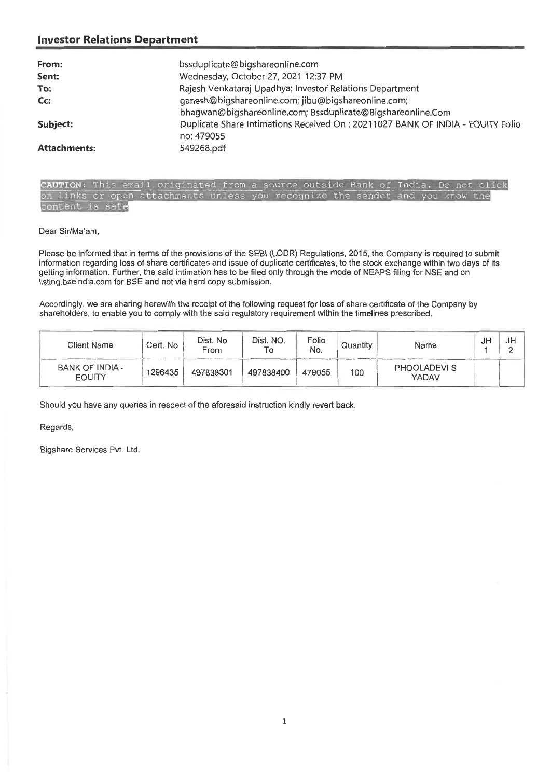## **Investor Relations Department**

| bssduplicate@bigshareonline.com                                                |
|--------------------------------------------------------------------------------|
| Wednesday, October 27, 2021 12:37 PM                                           |
| Rajesh Venkataraj Upadhya; Investor Relations Department                       |
| ganesh@bigshareonline.com; jibu@bigshareonline.com;                            |
| bhagwan@bigshareonline.com; Bssduplicate@Bigshareonline.Com                    |
| Duplicate Share Intimations Received On: 20211027 BANK OF INDIA - EQUITY Folio |
| no: 479055                                                                     |
| 549268.pdf                                                                     |
|                                                                                |

CAUTION: This email originated from a source outside Bank of India. Do not click on links or open attachments unless you recognize the sender and you know the content is safe

Dear Sir/Ma'am,

Please be informed that in terms of the provisions of the SEBI (LODR) Regulations, 2015, the Company is required to submit information regarding loss of share certificates and issue of duplicate certificates, to the stock exchange within two days of its getting information. Further, the said intimation has to be filed only through the mode of NEAPS filing for NSE and on listing.bseindia.com for BSE and not via hard copy submission.

Accordingly, we are sharing herewith the receipt of the following request for loss of share certificate of the Company by shareholders, to enable you to comply with the said regulatory requirement within the timelines prescribed.

| Client Name                      | Cert. No | Dist. No<br>From | Dist. NO.<br>Г٥ | Folio<br>No. | Quantity | Name                        | JH | JH<br>∸ |
|----------------------------------|----------|------------------|-----------------|--------------|----------|-----------------------------|----|---------|
| BANK OF INDIA -<br><b>EQUITY</b> | 1296435  | 497838301        | 497838400       | 479055       | 100      | <b>PHOOLADEVIS</b><br>YADAV |    |         |

Should you have any queries in respect of the aforesaid instruction kindly revert back.

## Regards,

Bigshare Services Pvt. Ltd.